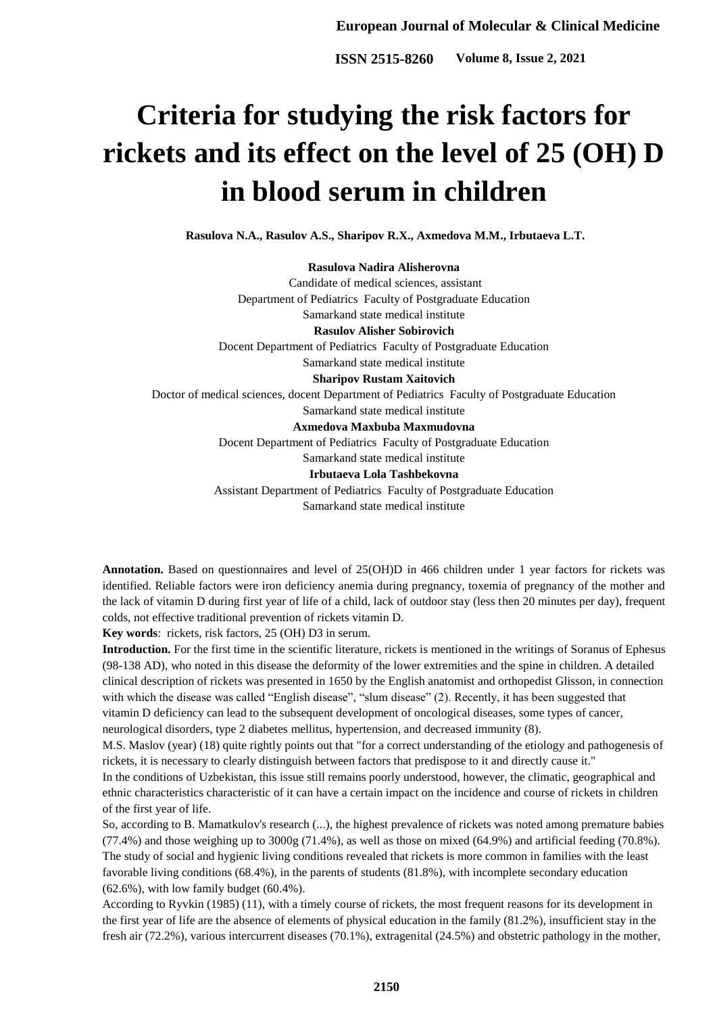**ISSN 2515-8260** Volume 8, Issue 2, 2021

# **Criteria for studying the risk factors for rickets and its effect on the level of 25 (OH) D in blood serum in children**

**Rasulova N.A., Rasulov A.S., Sharipov R.X., Axmedova M.M., Irbutaeva L.T.**

#### **Rasulova Nadira Alisherovna**

Candidate of medical sciences, assistant Department of Pediatrics Faculty of Postgraduate Education Samarkand state medical institute **Rasulov Alisher Sobirovich** Docent Department of Pediatrics Faculty of Postgraduate Education Samarkand state medical institute **Sharipov Rustam Xaitovich** Doctor of medical sciences, docent Department of Pediatrics Faculty of Postgraduate Education Samarkand state medical institute **Axmedova Maxbuba Maxmudovna** Docent Department of Pediatrics Faculty of Postgraduate Education Samarkand state medical institute **Irbutaeva Lola Tashbekovna** Assistant Department of Pediatrics Faculty of Postgraduate Education

Samarkand state medical institute

**Annotation.** Based on questionnaires and level of 25(OH)D in 466 children under 1 year factors for rickets was identified. Reliable factors were iron deficiency anemia during pregnancy, toxemia of pregnancy of the mother and the lack of vitamin D during first year of life of a child, lack of outdoor stay (less then 20 minutes per day), frequent colds, not effective traditional prevention of rickets vitamin D.

**Key words**: rickets, risk factors, 25 (OH) D3 in serum.

**Introduction.** For the first time in the scientific literature, rickets is mentioned in the writings of Soranus of Ephesus (98-138 AD), who noted in this disease the deformity of the lower extremities and the spine in children. A detailed clinical description of rickets was presented in 1650 by the English anatomist and orthopedist Glisson, in connection with which the disease was called "English disease", "slum disease" (2). Recently, it has been suggested that vitamin D deficiency can lead to the subsequent development of oncological diseases, some types of cancer, neurological disorders, type 2 diabetes mellitus, hypertension, and decreased immunity (8).

M.S. Maslov (year) (18) quite rightly points out that "for a correct understanding of the etiology and pathogenesis of rickets, it is necessary to clearly distinguish between factors that predispose to it and directly cause it."

In the conditions of Uzbekistan, this issue still remains poorly understood, however, the climatic, geographical and ethnic characteristics characteristic of it can have a certain impact on the incidence and course of rickets in children of the first year of life.

So, according to B. Mamatkulov's research (...), the highest prevalence of rickets was noted among premature babies (77.4%) and those weighing up to 3000g (71.4%), as well as those on mixed (64.9%) and artificial feeding (70.8%). The study of social and hygienic living conditions revealed that rickets is more common in families with the least favorable living conditions (68.4%), in the parents of students (81.8%), with incomplete secondary education (62.6%), with low family budget (60.4%).

According to Ryvkin (1985) (11), with a timely course of rickets, the most frequent reasons for its development in the first year of life are the absence of elements of physical education in the family (81.2%), insufficient stay in the fresh air (72.2%), various intercurrent diseases (70.1%), extragenital (24.5%) and obstetric pathology in the mother,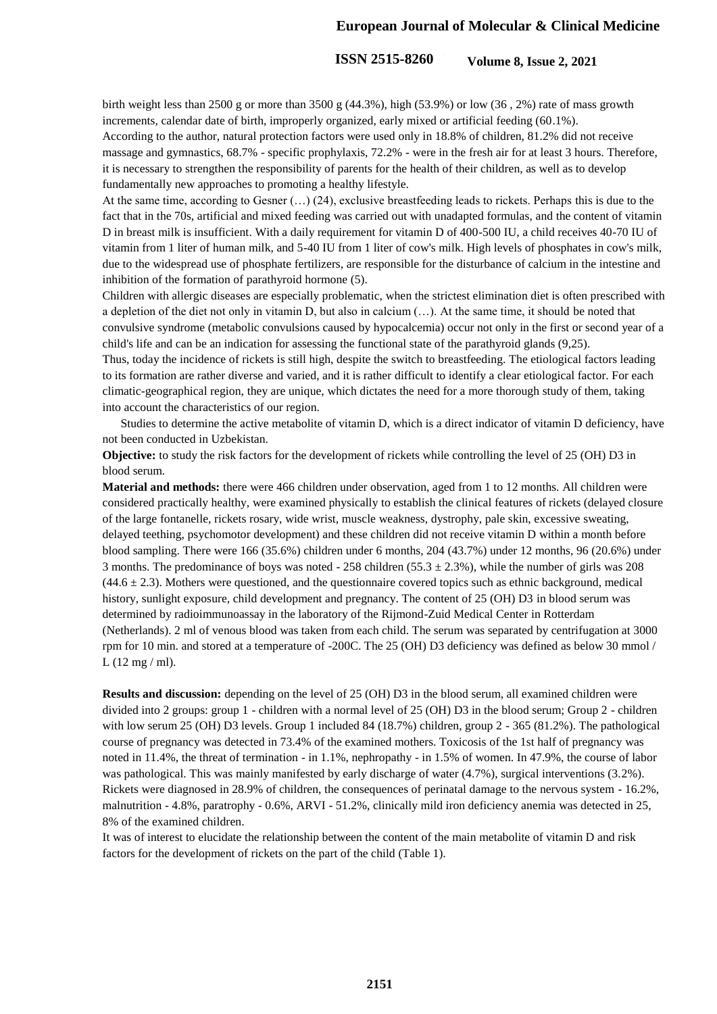## **European Journal of Molecular & Clinical Medicine**

# **ISSN 2515-8260** Volume 8, Issue 2, 2021

birth weight less than 2500 g or more than 3500 g  $(44.3\%)$ , high  $(53.9\%)$  or low  $(36, 2\%)$  rate of mass growth increments, calendar date of birth, improperly organized, early mixed or artificial feeding (60.1%). According to the author, natural protection factors were used only in 18.8% of children, 81.2% did not receive massage and gymnastics, 68.7% - specific prophylaxis, 72.2% - were in the fresh air for at least 3 hours. Therefore, it is necessary to strengthen the responsibility of parents for the health of their children, as well as to develop fundamentally new approaches to promoting a healthy lifestyle.

At the same time, according to Gesner  $(\ldots)$  (24), exclusive breastfeeding leads to rickets. Perhaps this is due to the fact that in the 70s, artificial and mixed feeding was carried out with unadapted formulas, and the content of vitamin D in breast milk is insufficient. With a daily requirement for vitamin D of 400-500 IU, a child receives 40-70 IU of vitamin from 1 liter of human milk, and 5-40 IU from 1 liter of cow's milk. High levels of phosphates in cow's milk, due to the widespread use of phosphate fertilizers, are responsible for the disturbance of calcium in the intestine and inhibition of the formation of parathyroid hormone (5).

Children with allergic diseases are especially problematic, when the strictest elimination diet is often prescribed with a depletion of the diet not only in vitamin D, but also in calcium (…). At the same time, it should be noted that convulsive syndrome (metabolic convulsions caused by hypocalcemia) occur not only in the first or second year of a child's life and can be an indication for assessing the functional state of the parathyroid glands (9,25).

Thus, today the incidence of rickets is still high, despite the switch to breastfeeding. The etiological factors leading to its formation are rather diverse and varied, and it is rather difficult to identify a clear etiological factor. For each climatic-geographical region, they are unique, which dictates the need for a more thorough study of them, taking into account the characteristics of our region.

 Studies to determine the active metabolite of vitamin D, which is a direct indicator of vitamin D deficiency, have not been conducted in Uzbekistan.

**Objective:** to study the risk factors for the development of rickets while controlling the level of 25 (OH) D3 in blood serum.

**Material and methods:** there were 466 children under observation, aged from 1 to 12 months. All children were considered practically healthy, were examined physically to establish the clinical features of rickets (delayed closure of the large fontanelle, rickets rosary, wide wrist, muscle weakness, dystrophy, pale skin, excessive sweating, delayed teething, psychomotor development) and these children did not receive vitamin D within a month before blood sampling. There were 166 (35.6%) children under 6 months, 204 (43.7%) under 12 months, 96 (20.6%) under 3 months. The predominance of boys was noted - 258 children (55.3  $\pm$  2.3%), while the number of girls was 208  $(44.6 \pm 2.3)$ . Mothers were questioned, and the questionnaire covered topics such as ethnic background, medical history, sunlight exposure, child development and pregnancy. The content of 25 (OH) D3 in blood serum was determined by radioimmunoassay in the laboratory of the Rijmond-Zuid Medical Center in Rotterdam (Netherlands). 2 ml of venous blood was taken from each child. The serum was separated by centrifugation at 3000 rpm for 10 min. and stored at a temperature of -200C. The 25 (OH) D3 deficiency was defined as below 30 mmol /  $L(12 mg/ml)$ .

**Results and discussion:** depending on the level of 25 (OH) D3 in the blood serum, all examined children were divided into 2 groups: group 1 - children with a normal level of 25 (OH) D3 in the blood serum; Group 2 - children with low serum 25 (OH) D3 levels. Group 1 included 84 (18.7%) children, group 2 - 365 (81.2%). The pathological course of pregnancy was detected in 73.4% of the examined mothers. Toxicosis of the 1st half of pregnancy was noted in 11.4%, the threat of termination - in 1.1%, nephropathy - in 1.5% of women. In 47.9%, the course of labor was pathological. This was mainly manifested by early discharge of water (4.7%), surgical interventions (3.2%). Rickets were diagnosed in 28.9% of children, the consequences of perinatal damage to the nervous system - 16.2%, malnutrition - 4.8%, paratrophy - 0.6%, ARVI - 51.2%, clinically mild iron deficiency anemia was detected in 25, 8% of the examined children.

It was of interest to elucidate the relationship between the content of the main metabolite of vitamin D and risk factors for the development of rickets on the part of the child (Table 1).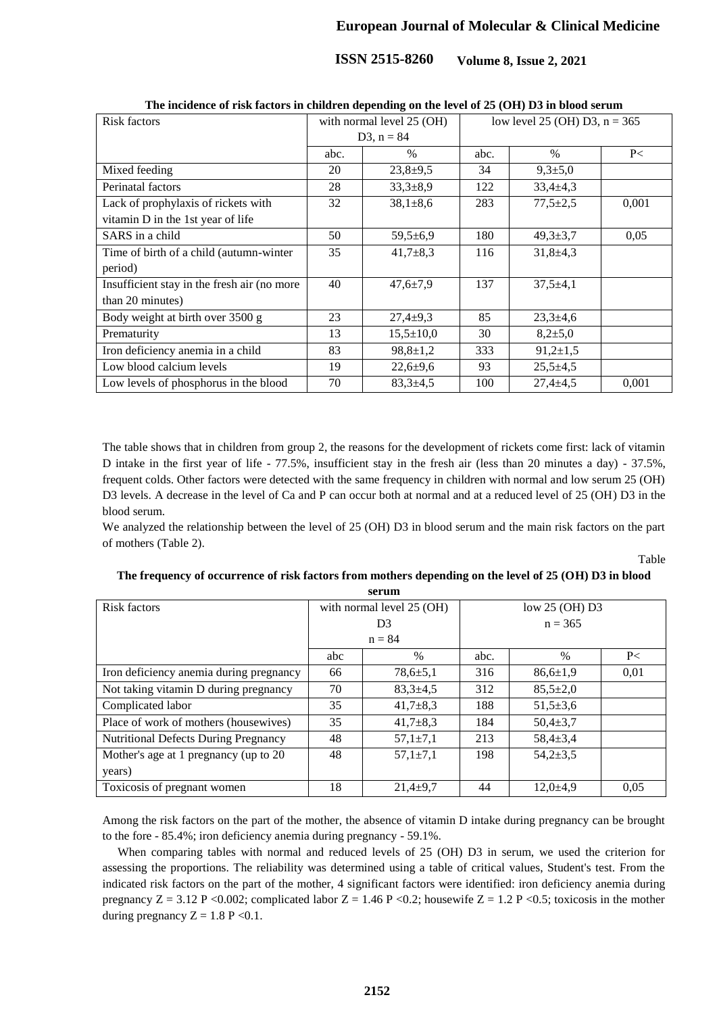**ISSN 2515-8260** Volume 8, Issue 2, 2021

| The incluence of Fisk factors in children depending on the level of 25 (OTF) D3 in blood serum |                           |                 |                                 |                |       |  |  |  |  |  |
|------------------------------------------------------------------------------------------------|---------------------------|-----------------|---------------------------------|----------------|-------|--|--|--|--|--|
| Risk factors                                                                                   | with normal level 25 (OH) |                 | low level 25 (OH) D3, $n = 365$ |                |       |  |  |  |  |  |
|                                                                                                | D3, $n = 84$              |                 |                                 |                |       |  |  |  |  |  |
|                                                                                                | abc.                      | $\frac{0}{0}$   | abc.                            | $\%$           | P<    |  |  |  |  |  |
| Mixed feeding                                                                                  | 20                        | $23,8+9,5$      | 34                              | $9,3{\pm}5,0$  |       |  |  |  |  |  |
| Perinatal factors                                                                              | 28                        | $33,3+8,9$      | 122                             | $33,4+4,3$     |       |  |  |  |  |  |
| Lack of prophylaxis of rickets with                                                            | 32                        | $38,1 \pm 8,6$  | 283                             | $77,5 \pm 2,5$ | 0,001 |  |  |  |  |  |
| vitamin D in the 1st year of life                                                              |                           |                 |                                 |                |       |  |  |  |  |  |
| SARS in a child                                                                                | 50                        | $59,5 \pm 6,9$  | 180                             | $49,3 \pm 3,7$ | 0,05  |  |  |  |  |  |
| Time of birth of a child (autumn-winter                                                        | 35                        | $41,7+8,3$      | 116                             | $31,8+4,3$     |       |  |  |  |  |  |
| period)                                                                                        |                           |                 |                                 |                |       |  |  |  |  |  |
| Insufficient stay in the fresh air (no more                                                    | 40                        | $47,6 \pm 7,9$  | 137                             | $37,5+4,1$     |       |  |  |  |  |  |
| than 20 minutes)                                                                               |                           |                 |                                 |                |       |  |  |  |  |  |
| Body weight at birth over 3500 g                                                               | 23                        | $27,4+9,3$      | 85                              | $23,3+4,6$     |       |  |  |  |  |  |
| Prematurity                                                                                    | 13                        | $15,5 \pm 10,0$ | 30                              | $8,2{\pm}5,0$  |       |  |  |  |  |  |
| Iron deficiency anemia in a child                                                              | 83                        | $98,8 \pm 1,2$  | 333                             | $91,2{\pm}1,5$ |       |  |  |  |  |  |
| Low blood calcium levels                                                                       | 19                        | $22,6+9,6$      | 93                              | $25,5+4,5$     |       |  |  |  |  |  |
| Low levels of phosphorus in the blood                                                          | 70                        | $83,3+4,5$      | 100                             | $27,4 \pm 4,5$ | 0,001 |  |  |  |  |  |

**The incidence of risk factors in children depending on the level of 25 (OH) D3 in blood serum**

The table shows that in children from group 2, the reasons for the development of rickets come first: lack of vitamin D intake in the first year of life - 77.5%, insufficient stay in the fresh air (less than 20 minutes a day) - 37.5%, frequent colds. Other factors were detected with the same frequency in children with normal and low serum 25 (OH) D3 levels. A decrease in the level of Ca and P can occur both at normal and at a reduced level of 25 (OH) D3 in the blood serum.

We analyzed the relationship between the level of 25 (OH) D3 in blood serum and the main risk factors on the part of mothers (Table 2).

Table

### **The frequency of occurrence of risk factors from mothers depending on the level of 25 (OH) D3 in blood serum**

| DUL ULLI                                    |                |                           |                |                |      |  |  |  |  |
|---------------------------------------------|----------------|---------------------------|----------------|----------------|------|--|--|--|--|
| Risk factors                                |                | with normal level 25 (OH) | low 25 (OH) D3 |                |      |  |  |  |  |
|                                             | D <sub>3</sub> |                           | $n = 365$      |                |      |  |  |  |  |
|                                             |                | $n = 84$                  |                |                |      |  |  |  |  |
|                                             | abc            | $\%$                      | abc.           | $\frac{0}{0}$  | P<   |  |  |  |  |
| Iron deficiency anemia during pregnancy     | 66             | $78,6{\pm}5,1$            | 316            | $86,6{\pm}1,9$ | 0,01 |  |  |  |  |
| Not taking vitamin D during pregnancy       | 70             | $83.3 \pm 4.5$            | 312            | $85.5 \pm 2.0$ |      |  |  |  |  |
| Complicated labor                           | 35             | $41.7\pm8.3$              | 188            | $51.5 \pm 3.6$ |      |  |  |  |  |
| Place of work of mothers (housewives)       | 35             | $41,7\pm8,3$              | 184            | $50.4 \pm 3.7$ |      |  |  |  |  |
| <b>Nutritional Defects During Pregnancy</b> | 48             | $57.1 \pm 7.1$            | 213            | $58,4 \pm 3,4$ |      |  |  |  |  |
| Mother's age at 1 pregnancy (up to 20       | 48             | $57,1 \pm 7,1$            | 198            | $54,2{\pm}3,5$ |      |  |  |  |  |
| years)                                      |                |                           |                |                |      |  |  |  |  |
| Toxicosis of pregnant women                 | 18             | $21,4+9,7$                | 44             | $12.0 \pm 4.9$ | 0.05 |  |  |  |  |

Among the risk factors on the part of the mother, the absence of vitamin D intake during pregnancy can be brought to the fore - 85.4%; iron deficiency anemia during pregnancy - 59.1%.

 When comparing tables with normal and reduced levels of 25 (OH) D3 in serum, we used the criterion for assessing the proportions. The reliability was determined using a table of critical values, Student's test. From the indicated risk factors on the part of the mother, 4 significant factors were identified: iron deficiency anemia during pregnancy  $Z = 3.12$  P <0.002; complicated labor  $Z = 1.46$  P <0.2; housewife  $Z = 1.2$  P <0.5; toxicosis in the mother during pregnancy  $Z = 1.8$  P < 0.1.